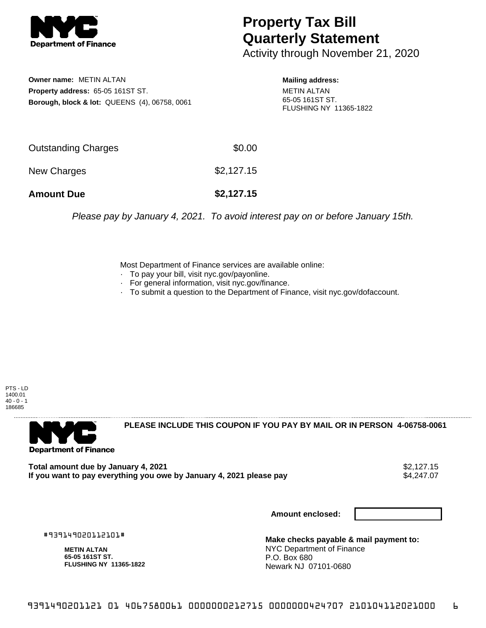

## **Property Tax Bill Quarterly Statement**

Activity through November 21, 2020

**Owner name:** METIN ALTAN **Property address:** 65-05 161ST ST. **Borough, block & lot:** QUEENS (4), 06758, 0061

## **Mailing address:**

METIN ALTAN 65-05 161ST ST. FLUSHING NY 11365-1822

| <b>Amount Due</b>   | \$2,127.15 |
|---------------------|------------|
| New Charges         | \$2,127.15 |
| Outstanding Charges | \$0.00     |

Please pay by January 4, 2021. To avoid interest pay on or before January 15th.

Most Department of Finance services are available online:

- · To pay your bill, visit nyc.gov/payonline.
- For general information, visit nyc.gov/finance.
- · To submit a question to the Department of Finance, visit nyc.gov/dofaccount.

PTS - LD 1400.01  $40 - 0 - 1$ 186685



**PLEASE INCLUDE THIS COUPON IF YOU PAY BY MAIL OR IN PERSON 4-06758-0061** 

**Total amount due by January 4, 2021**<br>If you want to pay everything you owe by January 4, 2021 please pay **strategy of the Superior August** \$4,247.07 If you want to pay everything you owe by January 4, 2021 please pay

**Amount enclosed:**

#939149020112101#

**METIN ALTAN 65-05 161ST ST. FLUSHING NY 11365-1822**

**Make checks payable & mail payment to:** NYC Department of Finance P.O. Box 680 Newark NJ 07101-0680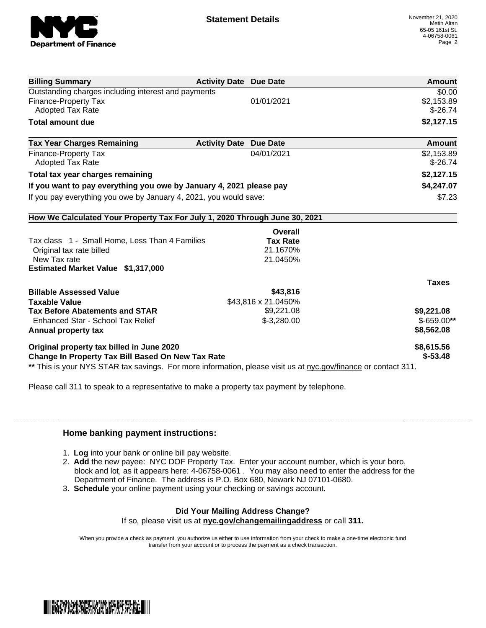

| <b>Billing Summary</b>                                                                                         | <b>Activity Date Due Date</b> | Amount       |
|----------------------------------------------------------------------------------------------------------------|-------------------------------|--------------|
| Outstanding charges including interest and payments                                                            |                               | \$0.00       |
| <b>Finance-Property Tax</b>                                                                                    | 01/01/2021                    | \$2,153.89   |
| <b>Adopted Tax Rate</b>                                                                                        |                               | $$-26.74$    |
| <b>Total amount due</b>                                                                                        |                               | \$2,127.15   |
| <b>Tax Year Charges Remaining</b>                                                                              | <b>Activity Date Due Date</b> | Amount       |
| <b>Finance-Property Tax</b>                                                                                    | 04/01/2021                    | \$2,153.89   |
| <b>Adopted Tax Rate</b>                                                                                        |                               | $$-26.74$    |
| Total tax year charges remaining                                                                               |                               | \$2,127.15   |
| If you want to pay everything you owe by January 4, 2021 please pay                                            |                               | \$4,247.07   |
| If you pay everything you owe by January 4, 2021, you would save:                                              |                               | \$7.23       |
| How We Calculated Your Property Tax For July 1, 2020 Through June 30, 2021                                     |                               |              |
|                                                                                                                | Overall                       |              |
| Tax class 1 - Small Home, Less Than 4 Families                                                                 | <b>Tax Rate</b>               |              |
| Original tax rate billed                                                                                       | 21.1670%                      |              |
| New Tax rate                                                                                                   | 21.0450%                      |              |
| Estimated Market Value \$1,317,000                                                                             |                               |              |
|                                                                                                                |                               | <b>Taxes</b> |
| <b>Billable Assessed Value</b>                                                                                 | \$43,816                      |              |
| <b>Taxable Value</b>                                                                                           | \$43,816 x 21.0450%           |              |
| <b>Tax Before Abatements and STAR</b>                                                                          | \$9,221.08                    | \$9,221.08   |
| Enhanced Star - School Tax Relief                                                                              | $$-3,280.00$                  | $$-659.00**$ |
| Annual property tax                                                                                            |                               | \$8,562.08   |
| Original property tax billed in June 2020                                                                      |                               | \$8,615.56   |
| Change In Property Tax Bill Based On New Tax Rate                                                              |                               | $$ -53.48$   |
| ** This is your NYS STAR tax savings. For more information, please visit us at nyc.gov/finance or contact 311. |                               |              |

Please call 311 to speak to a representative to make a property tax payment by telephone.

## **Home banking payment instructions:**

- 1. **Log** into your bank or online bill pay website.
- 2. **Add** the new payee: NYC DOF Property Tax. Enter your account number, which is your boro, block and lot, as it appears here: 4-06758-0061 . You may also need to enter the address for the Department of Finance. The address is P.O. Box 680, Newark NJ 07101-0680.
- 3. **Schedule** your online payment using your checking or savings account.

## **Did Your Mailing Address Change?**

If so, please visit us at **nyc.gov/changemailingaddress** or call **311.**

When you provide a check as payment, you authorize us either to use information from your check to make a one-time electronic fund transfer from your account or to process the payment as a check transaction.